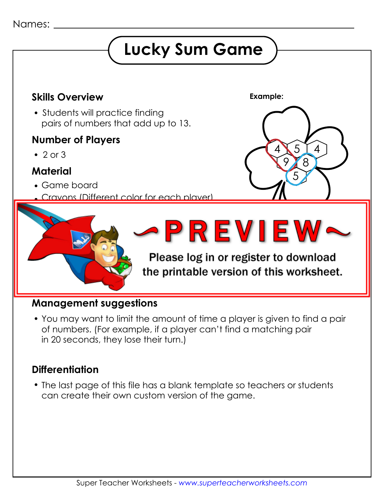# **Lucky Sum Game**



#### **Management suggestions**

 You may want to limit the amount of time a player is given to find a pair of numbers. (For example, if a player can't find a matching pair in 20 seconds, they lose their turn.)

## **Differentiation**

 The last page of this file has a blank template so teachers or students can create their own custom version of the game.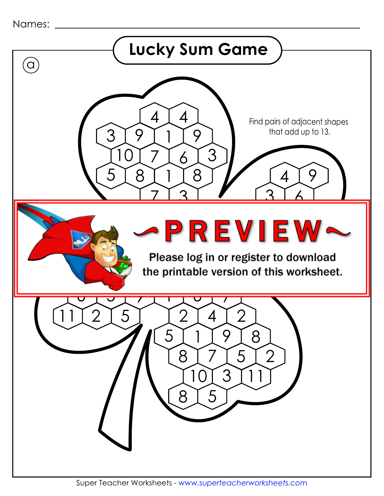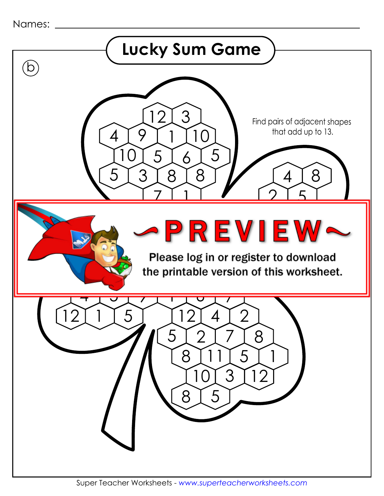```
Names:
```
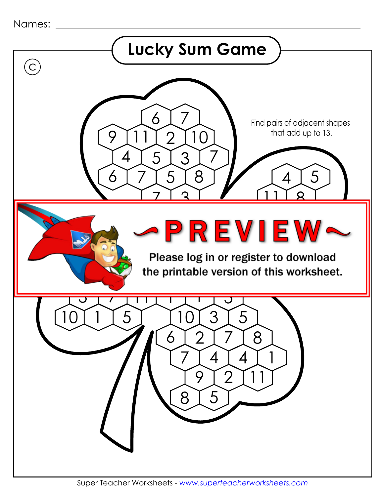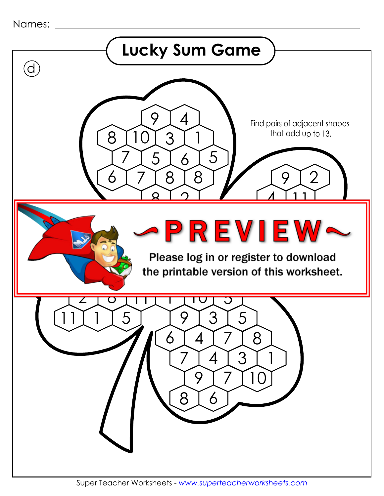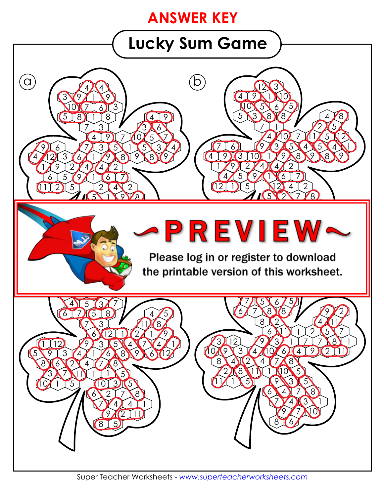# **ANSWER KEY**